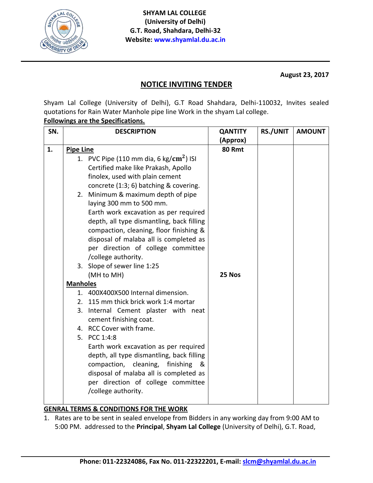

**August 23, 2017**

## **NOTICE INVITING TENDER**

Shyam Lal College (University of Delhi), G.T Road Shahdara, Delhi-110032, Invites sealed quotations for Rain Water Manhole pipe line Work in the shyam Lal college.

## **Followings are the Specifications.**

| SN. | <b>DESCRIPTION</b> |                                                 | <b>QANTITY</b> | <b>RS./UNIT</b> | <b>AMOUNT</b> |
|-----|--------------------|-------------------------------------------------|----------------|-----------------|---------------|
|     |                    |                                                 | (Approx)       |                 |               |
| 1.  | <b>Pipe Line</b>   |                                                 | 80 Rmt         |                 |               |
|     |                    | 1. PVC Pipe (110 mm dia, 6 kg/ $\rm cm^2$ ) ISI |                |                 |               |
|     |                    | Certified make like Prakash, Apollo             |                |                 |               |
|     |                    | finolex, used with plain cement                 |                |                 |               |
|     |                    | concrete (1:3; 6) batching & covering.          |                |                 |               |
|     |                    | 2. Minimum & maximum depth of pipe              |                |                 |               |
|     |                    | laying 300 mm to 500 mm.                        |                |                 |               |
|     |                    | Earth work excavation as per required           |                |                 |               |
|     |                    | depth, all type dismantling, back filling       |                |                 |               |
|     |                    | compaction, cleaning, floor finishing &         |                |                 |               |
|     |                    | disposal of malaba all is completed as          |                |                 |               |
|     |                    | per direction of college committee              |                |                 |               |
|     |                    | /college authority.                             |                |                 |               |
|     |                    | 3. Slope of sewer line 1:25                     |                |                 |               |
|     |                    | (MH to MH)                                      | 25 Nos         |                 |               |
|     | <b>Manholes</b>    |                                                 |                |                 |               |
|     |                    | 1. 400X400X500 Internal dimension.              |                |                 |               |
|     |                    | 2. 115 mm thick brick work 1:4 mortar           |                |                 |               |
|     |                    | 3. Internal Cement plaster with neat            |                |                 |               |
|     |                    | cement finishing coat.                          |                |                 |               |
|     |                    | 4. RCC Cover with frame.                        |                |                 |               |
|     |                    | 5. PCC 1:4:8                                    |                |                 |               |
|     |                    | Earth work excavation as per required           |                |                 |               |
|     |                    | depth, all type dismantling, back filling       |                |                 |               |
|     |                    | compaction, cleaning,<br>finishing &            |                |                 |               |
|     |                    | disposal of malaba all is completed as          |                |                 |               |
|     |                    | per direction of college committee              |                |                 |               |
|     |                    | /college authority.                             |                |                 |               |
|     |                    |                                                 |                |                 |               |

## **GENRAL TERMS & CONDITIONS FOR THE WORK**

1. Rates are to be sent in sealed envelope from Bidders in any working day from 9:00 AM to 5:00 PM. addressed to the **Principal**, **Shyam Lal College** (University of Delhi), G.T. Road,